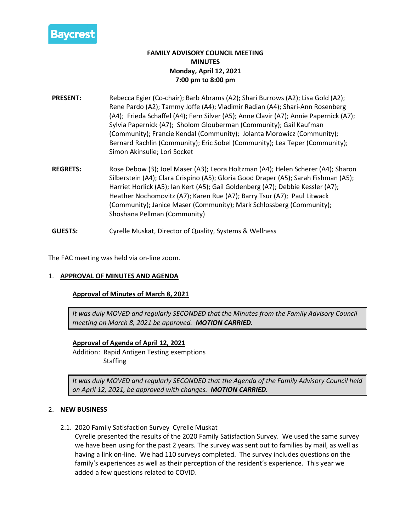

# **FAMILY ADVISORY COUNCIL MEETING MINUTES Monday, April 12, 2021 7:00 pm to 8:00 pm**

- **PRESENT:** Rebecca Egier (Co-chair); Barb Abrams (A2); Shari Burrows (A2); Lisa Gold (A2); Rene Pardo (A2); Tammy Joffe (A4); Vladimir Radian (A4); Shari-Ann Rosenberg (A4); Frieda Schaffel (A4); Fern Silver (A5); Anne Clavir (A7); Annie Papernick (A7); Sylvia Papernick (A7); Sholom Glouberman (Community); Gail Kaufman (Community); Francie Kendal (Community); Jolanta Morowicz (Community); Bernard Rachlin (Community); Eric Sobel (Community); Lea Teper (Community); Simon Akinsulie; Lori Socket
- **REGRETS:** Rose Debow (3); Joel Maser (A3); Leora Holtzman (A4); Helen Scherer (A4); Sharon Silberstein (A4); Clara Crispino (A5); Gloria Good Draper (A5); Sarah Fishman (A5); Harriet Horlick (A5); Ian Kert (A5); Gail Goldenberg (A7); Debbie Kessler (A7); Heather Nochomovitz (A7); Karen Rue (A7); Barry Tsur (A7); Paul Litwack (Community); Janice Maser (Community); Mark Schlossberg (Community); Shoshana Pellman (Community)
- **GUESTS:** Cyrelle Muskat, Director of Quality, Systems & Wellness

The FAC meeting was held via on-line zoom.

### 1. **APPROVAL OF MINUTES AND AGENDA**

### **Approval of Minutes of March 8, 2021**

*It was duly MOVED and regularly SECONDED that the Minutes from the Family Advisory Council meeting on March 8, 2021 be approved. MOTION CARRIED.*

# **Approval of Agenda of April 12, 2021**

Addition: Rapid Antigen Testing exemptions **Staffing** 

*It was duly MOVED and regularly SECONDED that the Agenda of the Family Advisory Council held on April 12, 2021, be approved with changes. MOTION CARRIED.*

### 2. **NEW BUSINESS**

2.1. 2020 Family Satisfaction Survey Cyrelle Muskat

Cyrelle presented the results of the 2020 Family Satisfaction Survey. We used the same survey we have been using for the past 2 years. The survey was sent out to families by mail, as well as having a link on-line. We had 110 surveys completed. The survey includes questions on the family's experiences as well as their perception of the resident's experience. This year we added a few questions related to COVID.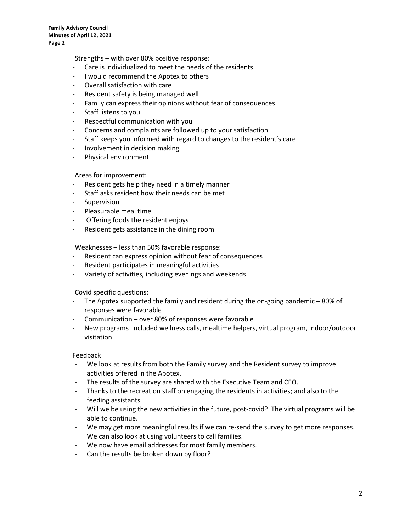**Family Advisory Council Minutes of April 12, 2021 Page 2**

Strengths – with over 80% positive response:

- Care is individualized to meet the needs of the residents
- I would recommend the Apotex to others
- Overall satisfaction with care
- Resident safety is being managed well
- Family can express their opinions without fear of consequences
- Staff listens to you
- Respectful communication with you
- Concerns and complaints are followed up to your satisfaction
- Staff keeps you informed with regard to changes to the resident's care
- Involvement in decision making
- Physical environment

#### Areas for improvement:

- Resident gets help they need in a timely manner
- Staff asks resident how their needs can be met
- Supervision
- Pleasurable meal time
- Offering foods the resident enjoys
- Resident gets assistance in the dining room

Weaknesses – less than 50% favorable response:

- Resident can express opinion without fear of consequences
- Resident participates in meaningful activities
- Variety of activities, including evenings and weekends

Covid specific questions:

- The Apotex supported the family and resident during the on-going pandemic 80% of responses were favorable
- Communication over 80% of responses were favorable
- New programs included wellness calls, mealtime helpers, virtual program, indoor/outdoor visitation

#### Feedback

- We look at results from both the Family survey and the Resident survey to improve activities offered in the Apotex.
- The results of the survey are shared with the Executive Team and CEO.
- Thanks to the recreation staff on engaging the residents in activities; and also to the feeding assistants
- Will we be using the new activities in the future, post-covid? The virtual programs will be able to continue.
- We may get more meaningful results if we can re-send the survey to get more responses. We can also look at using volunteers to call families.
- We now have email addresses for most family members.
- Can the results be broken down by floor?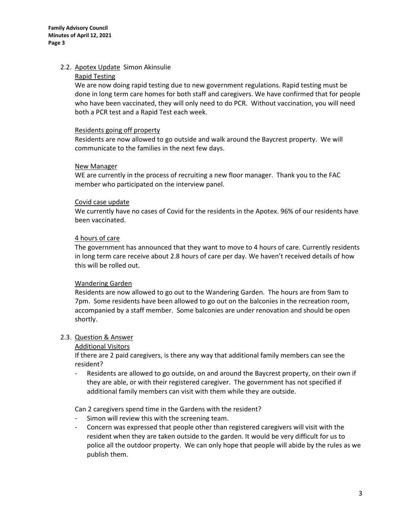# 2.2. Apotex Update Simon Akinsulie

## Rapid Testing

We are now doing rapid testing due to new government regulations. Rapid testing must be done in long term care homes for both staff and caregivers. We have confirmed that for people who have been vaccinated, they will only need to do PCR. Without vaccination, you will need both a PCR test and a Rapid Test each week.

## Residents going off property

Residents are now allowed to go outside and walk around the Baycrest property. We will communicate to the families in the next few days.

## New Manager

WE are currently in the process of recruiting a new floor manager. Thank you to the FAC member who participated on the interview panel.

## Covid case update

We currently have no cases of Covid for the residents in the Apotex. 96% of our residents have been vaccinated.

## 4 hours of care

The government has announced that they want to move to 4 hours of care. Currently residents in long term care receive about 2.8 hours of care per day. We haven't received details of how this will be rolled out.

# Wandering Garden

Residents are now allowed to go out to the Wandering Garden. The hours are from 9am to 7pm. Some residents have been allowed to go out on the balconies in the recreation room, accompanied by a staff member. Some balconies are under renovation and should be open shortly.

# 2.3. Question & Answer

### Additional Visitors

If there are 2 paid caregivers, is there any way that additional family members can see the resident?

- Residents are allowed to go outside, on and around the Baycrest property, on their own if they are able, or with their registered caregiver. The government has not specified if additional family members can visit with them while they are outside.

Can 2 caregivers spend time in the Gardens with the resident?

- Simon will review this with the screening team.
- Concern was expressed that people other than registered caregivers will visit with the resident when they are taken outside to the garden. It would be very difficult for us to police all the outdoor property. We can only hope that people will abide by the rules as we publish them.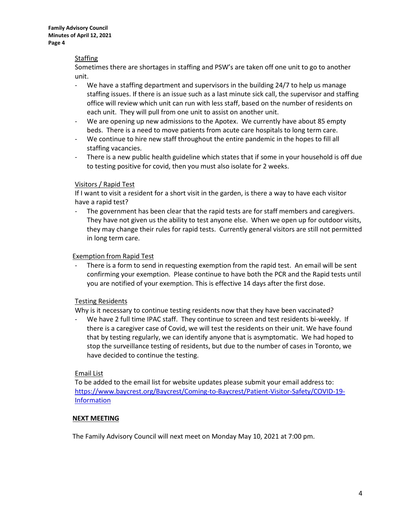**Family Advisory Council Minutes of April 12, 2021 Page 4**

## **Staffing**

Sometimes there are shortages in staffing and PSW's are taken off one unit to go to another unit.

- We have a staffing department and supervisors in the building 24/7 to help us manage staffing issues. If there is an issue such as a last minute sick call, the supervisor and staffing office will review which unit can run with less staff, based on the number of residents on each unit. They will pull from one unit to assist on another unit.
- We are opening up new admissions to the Apotex. We currently have about 85 empty beds. There is a need to move patients from acute care hospitals to long term care.
- We continue to hire new staff throughout the entire pandemic in the hopes to fill all staffing vacancies.
- There is a new public health guideline which states that if some in your household is off due to testing positive for covid, then you must also isolate for 2 weeks.

# Visitors / Rapid Test

If I want to visit a resident for a short visit in the garden, is there a way to have each visitor have a rapid test?

The government has been clear that the rapid tests are for staff members and caregivers. They have not given us the ability to test anyone else. When we open up for outdoor visits, they may change their rules for rapid tests. Currently general visitors are still not permitted in long term care.

## Exemption from Rapid Test

There is a form to send in requesting exemption from the rapid test. An email will be sent confirming your exemption. Please continue to have both the PCR and the Rapid tests until you are notified of your exemption. This is effective 14 days after the first dose.

### Testing Residents

Why is it necessary to continue testing residents now that they have been vaccinated?

We have 2 full time IPAC staff. They continue to screen and test residents bi-weekly. If there is a caregiver case of Covid, we will test the residents on their unit. We have found that by testing regularly, we can identify anyone that is asymptomatic. We had hoped to stop the surveillance testing of residents, but due to the number of cases in Toronto, we have decided to continue the testing.

### Email List

To be added to the email list for website updates please submit your email address to: [https://www.baycrest.org/Baycrest/Coming-to-Baycrest/Patient-Visitor-Safety/COVID-19-](https://www.baycrest.org/Baycrest/Coming-to-Baycrest/Patient-Visitor-Safety/COVID-19-Information) **Information** 

### **NEXT MEETING**

The Family Advisory Council will next meet on Monday May 10, 2021 at 7:00 pm.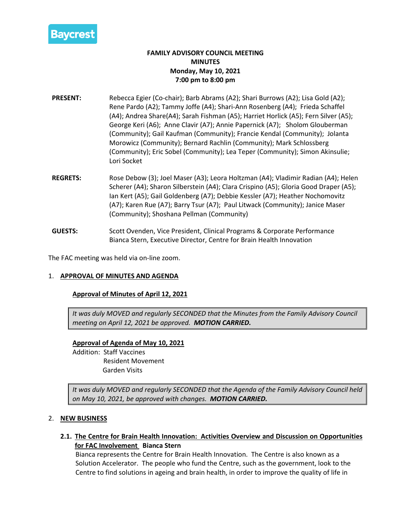

# **FAMILY ADVISORY COUNCIL MEETING MINUTES Monday, May 10, 2021 7:00 pm to 8:00 pm**

- **PRESENT:** Rebecca Egier (Co-chair); Barb Abrams (A2); Shari Burrows (A2); Lisa Gold (A2); Rene Pardo (A2); Tammy Joffe (A4); Shari-Ann Rosenberg (A4); Frieda Schaffel (A4); Andrea Share(A4); Sarah Fishman (A5); Harriet Horlick (A5); Fern Silver (A5); George Keri (A6); Anne Clavir (A7); Annie Papernick (A7); Sholom Glouberman (Community); Gail Kaufman (Community); Francie Kendal (Community); Jolanta Morowicz (Community); Bernard Rachlin (Community); Mark Schlossberg (Community); Eric Sobel (Community); Lea Teper (Community); Simon Akinsulie; Lori Socket
- **REGRETS:** Rose Debow (3); Joel Maser (A3); Leora Holtzman (A4); Vladimir Radian (A4); Helen Scherer (A4); Sharon Silberstein (A4); Clara Crispino (A5); Gloria Good Draper (A5); Ian Kert (A5); Gail Goldenberg (A7); Debbie Kessler (A7); Heather Nochomovitz (A7); Karen Rue (A7); Barry Tsur (A7); Paul Litwack (Community); Janice Maser (Community); Shoshana Pellman (Community)
- **GUESTS:** Scott Ovenden, Vice President, Clinical Programs & Corporate Performance Bianca Stern, Executive Director, Centre for Brain Health Innovation

The FAC meeting was held via on-line zoom.

# 1. **APPROVAL OF MINUTES AND AGENDA**

### **Approval of Minutes of April 12, 2021**

*It was duly MOVED and regularly SECONDED that the Minutes from the Family Advisory Council meeting on April 12, 2021 be approved. MOTION CARRIED.*

# **Approval of Agenda of May 10, 2021**

Addition: Staff Vaccines Resident Movement Garden Visits

*It was duly MOVED and regularly SECONDED that the Agenda of the Family Advisory Council held on May 10, 2021, be approved with changes. MOTION CARRIED.*

### 2. **NEW BUSINESS**

**2.1. The Centre for Brain Health Innovation: Activities Overview and Discussion on Opportunities for FAC Involvement Bianca Stern**

Bianca represents the Centre for Brain Health Innovation. The Centre is also known as a Solution Accelerator. The people who fund the Centre, such as the government, look to the Centre to find solutions in ageing and brain health, in order to improve the quality of life in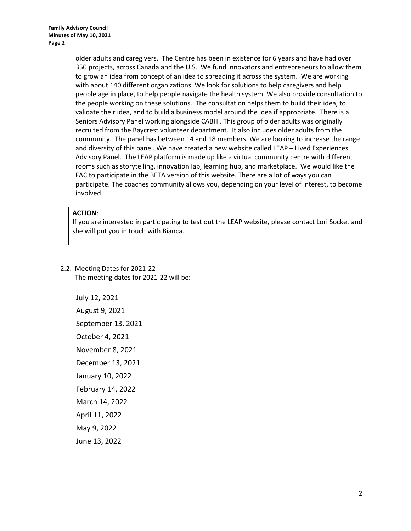older adults and caregivers. The Centre has been in existence for 6 years and have had over 350 projects, across Canada and the U.S. We fund innovators and entrepreneurs to allow them to grow an idea from concept of an idea to spreading it across the system. We are working with about 140 different organizations. We look for solutions to help caregivers and help people age in place, to help people navigate the health system. We also provide consultation to the people working on these solutions. The consultation helps them to build their idea, to validate their idea, and to build a business model around the idea if appropriate. There is a Seniors Advisory Panel working alongside CABHI. This group of older adults was originally recruited from the Baycrest volunteer department. It also includes older adults from the community. The panel has between 14 and 18 members. We are looking to increase the range and diversity of this panel. We have created a new website called LEAP – Lived Experiences Advisory Panel. The LEAP platform is made up like a virtual community centre with different rooms such as storytelling, innovation lab, learning hub, and marketplace. We would like the FAC to participate in the BETA version of this website. There are a lot of ways you can participate. The coaches community allows you, depending on your level of interest, to become involved.

# **ACTION**:

If you are interested in participating to test out the LEAP website, please contact Lori Socket and she will put you in touch with Bianca.

# 2.2. Meeting Dates for 2021-22

The meeting dates for 2021-22 will be:

July 12, 2021 August 9, 2021 September 13, 2021 October 4, 2021 November 8, 2021 December 13, 2021 January 10, 2022 February 14, 2022 March 14, 2022 April 11, 2022 May 9, 2022 June 13, 2022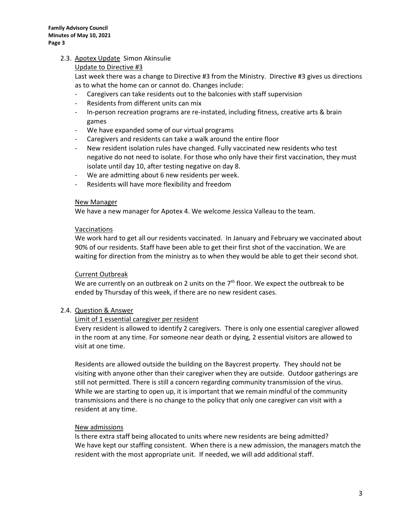# 2.3. Apotex Update Simon Akinsulie

## Update to Directive #3

Last week there was a change to Directive #3 from the Ministry. Directive #3 gives us directions as to what the home can or cannot do. Changes include:

- Caregivers can take residents out to the balconies with staff supervision
- Residents from different units can mix
- In-person recreation programs are re-instated, including fitness, creative arts & brain games
- We have expanded some of our virtual programs
- Caregivers and residents can take a walk around the entire floor
- New resident isolation rules have changed. Fully vaccinated new residents who test negative do not need to isolate. For those who only have their first vaccination, they must isolate until day 10, after testing negative on day 8.
- We are admitting about 6 new residents per week.
- Residents will have more flexibility and freedom

### New Manager

We have a new manager for Apotex 4. We welcome Jessica Valleau to the team.

### Vaccinations

We work hard to get all our residents vaccinated. In January and February we vaccinated about 90% of our residents. Staff have been able to get their first shot of the vaccination. We are waiting for direction from the ministry as to when they would be able to get their second shot.

### Current Outbreak

We are currently on an outbreak on 2 units on the  $7<sup>th</sup>$  floor. We expect the outbreak to be ended by Thursday of this week, if there are no new resident cases.

### 2.4. Question & Answer

# Limit of 1 essential caregiver per resident

Every resident is allowed to identify 2 caregivers. There is only one essential caregiver allowed in the room at any time. For someone near death or dying, 2 essential visitors are allowed to visit at one time.

Residents are allowed outside the building on the Baycrest property. They should not be visiting with anyone other than their caregiver when they are outside. Outdoor gatherings are still not permitted. There is still a concern regarding community transmission of the virus. While we are starting to open up, it is important that we remain mindful of the community transmissions and there is no change to the policy that only one caregiver can visit with a resident at any time.

### New admissions

Is there extra staff being allocated to units where new residents are being admitted? We have kept our staffing consistent. When there is a new admission, the managers match the resident with the most appropriate unit. If needed, we will add additional staff.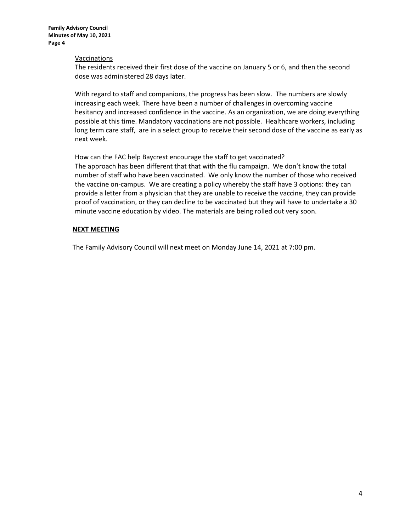#### Vaccinations

The residents received their first dose of the vaccine on January 5 or 6, and then the second dose was administered 28 days later.

With regard to staff and companions, the progress has been slow. The numbers are slowly increasing each week. There have been a number of challenges in overcoming vaccine hesitancy and increased confidence in the vaccine. As an organization, we are doing everything possible at this time. Mandatory vaccinations are not possible. Healthcare workers, including long term care staff, are in a select group to receive their second dose of the vaccine as early as next week.

How can the FAC help Baycrest encourage the staff to get vaccinated?

The approach has been different that that with the flu campaign. We don't know the total number of staff who have been vaccinated. We only know the number of those who received the vaccine on-campus. We are creating a policy whereby the staff have 3 options: they can provide a letter from a physician that they are unable to receive the vaccine, they can provide proof of vaccination, or they can decline to be vaccinated but they will have to undertake a 30 minute vaccine education by video. The materials are being rolled out very soon.

#### **NEXT MEETING**

The Family Advisory Council will next meet on Monday June 14, 2021 at 7:00 pm.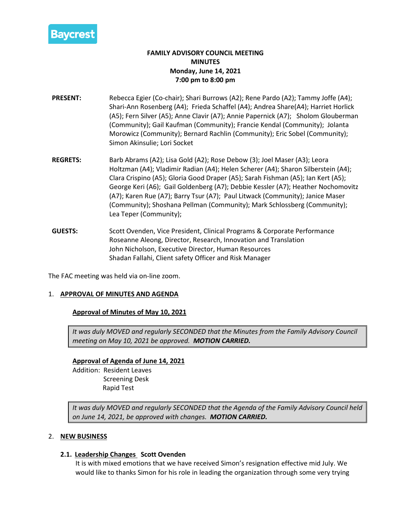

# **FAMILY ADVISORY COUNCIL MEETING MINUTES Monday, June 14, 2021 7:00 pm to 8:00 pm**

- **PRESENT:** Rebecca Egier (Co-chair); Shari Burrows (A2); Rene Pardo (A2); Tammy Joffe (A4); Shari-Ann Rosenberg (A4); Frieda Schaffel (A4); Andrea Share(A4); Harriet Horlick (A5); Fern Silver (A5); Anne Clavir (A7); Annie Papernick (A7); Sholom Glouberman (Community); Gail Kaufman (Community); Francie Kendal (Community); Jolanta Morowicz (Community); Bernard Rachlin (Community); Eric Sobel (Community); Simon Akinsulie; Lori Socket
- **REGRETS:** Barb Abrams (A2); Lisa Gold (A2); Rose Debow (3); Joel Maser (A3); Leora Holtzman (A4); Vladimir Radian (A4); Helen Scherer (A4); Sharon Silberstein (A4); Clara Crispino (A5); Gloria Good Draper (A5); Sarah Fishman (A5); Ian Kert (A5); George Keri (A6); Gail Goldenberg (A7); Debbie Kessler (A7); Heather Nochomovitz (A7); Karen Rue (A7); Barry Tsur (A7); Paul Litwack (Community); Janice Maser (Community); Shoshana Pellman (Community); Mark Schlossberg (Community); Lea Teper (Community);
- **GUESTS:** Scott Ovenden, Vice President, Clinical Programs & Corporate Performance Roseanne Aleong, Director, Research, Innovation and Translation John Nicholson, Executive Director, Human Resources Shadan Fallahi, Client safety Officer and Risk Manager

The FAC meeting was held via on-line zoom.

### 1. **APPROVAL OF MINUTES AND AGENDA**

# **Approval of Minutes of May 10, 2021**

*It was duly MOVED and regularly SECONDED that the Minutes from the Family Advisory Council meeting on May 10, 2021 be approved. MOTION CARRIED.*

**Approval of Agenda of June 14, 2021** Addition: Resident Leaves Screening Desk Rapid Test

*It was duly MOVED and regularly SECONDED that the Agenda of the Family Advisory Council held on June 14, 2021, be approved with changes. MOTION CARRIED.*

# 2. **NEW BUSINESS**

### **2.1. Leadership Changes Scott Ovenden**

It is with mixed emotions that we have received Simon's resignation effective mid July. We would like to thanks Simon for his role in leading the organization through some very trying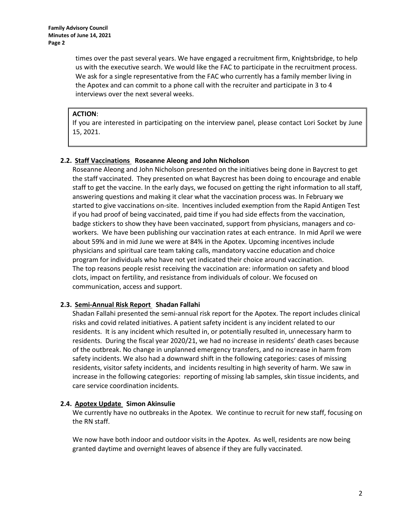times over the past several years. We have engaged a recruitment firm, Knightsbridge, to help us with the executive search. We would like the FAC to participate in the recruitment process. We ask for a single representative from the FAC who currently has a family member living in the Apotex and can commit to a phone call with the recruiter and participate in 3 to 4 interviews over the next several weeks.

## **ACTION**:

If you are interested in participating on the interview panel, please contact Lori Socket by June 15, 2021.

# **2.2. Staff Vaccinations Roseanne Aleong and John Nicholson**

Roseanne Aleong and John Nicholson presented on the initiatives being done in Baycrest to get the staff vaccinated. They presented on what Baycrest has been doing to encourage and enable staff to get the vaccine. In the early days, we focused on getting the right information to all staff, answering questions and making it clear what the vaccination process was. In February we started to give vaccinations on-site. Incentives included exemption from the Rapid Antigen Test if you had proof of being vaccinated, paid time if you had side effects from the vaccination, badge stickers to show they have been vaccinated, support from physicians, managers and coworkers. We have been publishing our vaccination rates at each entrance. In mid April we were about 59% and in mid June we were at 84% in the Apotex. Upcoming incentives include physicians and spiritual care team taking calls, mandatory vaccine education and choice program for individuals who have not yet indicated their choice around vaccination. The top reasons people resist receiving the vaccination are: information on safety and blood clots, impact on fertility, and resistance from individuals of colour. We focused on communication, access and support.

# **2.3. Semi-Annual Risk Report Shadan Fallahi**

Shadan Fallahi presented the semi-annual risk report for the Apotex. The report includes clinical risks and covid related initiatives. A patient safety incident is any incident related to our residents. It is any incident which resulted in, or potentially resulted in, unnecessary harm to residents. During the fiscal year 2020/21, we had no increase in residents' death cases because of the outbreak. No change in unplanned emergency transfers, and no increase in harm from safety incidents. We also had a downward shift in the following categories: cases of missing residents, visitor safety incidents, and incidents resulting in high severity of harm. We saw in increase in the following categories: reporting of missing lab samples, skin tissue incidents, and care service coordination incidents.

# **2.4. Apotex Update Simon Akinsulie**

We currently have no outbreaks in the Apotex. We continue to recruit for new staff, focusing on the RN staff.

We now have both indoor and outdoor visits in the Apotex. As well, residents are now being granted daytime and overnight leaves of absence if they are fully vaccinated.